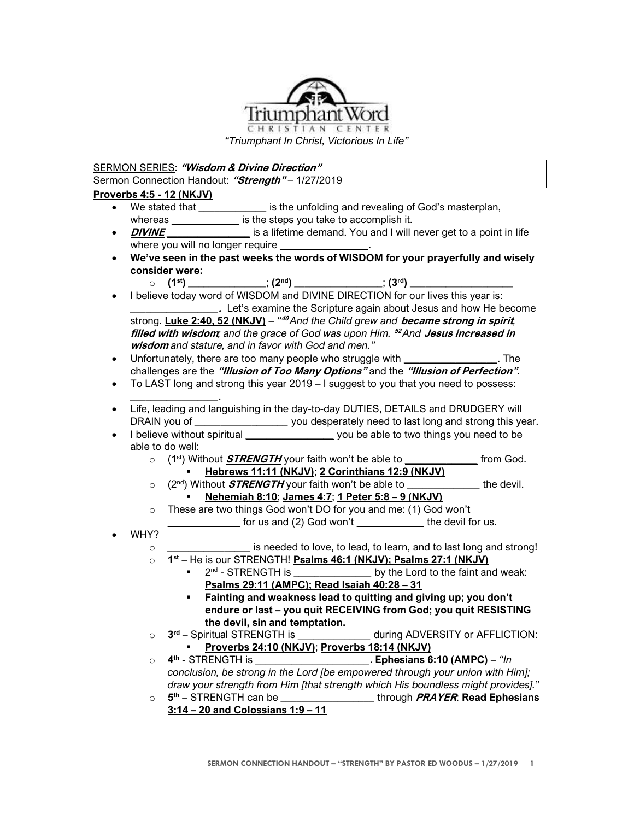

*"Triumphant In Christ, Victorious In Life"*

## SERMON SERIES: **"Wisdom & Divine Direction"** Sermon Connection Handout: **"Strength"** – 1/27/2019

**Proverbs 4:5 - 12 (NKJV)**

- We stated that **\_\_\_\_\_\_\_\_\_\_\_\_\_** is the unfolding and revealing of God's masterplan, whereas **whereas** is the steps you take to accomplish it.
- **DIVINE and is a lifetime demand. You and I will never get to a point in life** where you will no longer require **\_\_\_\_\_\_\_\_\_\_\_\_\_\_\_\_\_**.
- **We've seen in the past weeks the words of WISDOM for your prayerfully and wisely consider were:** 
	- o **(1st) \_\_\_\_\_\_\_\_\_\_\_\_\_\_\_**; **(2nd) \_\_\_\_\_\_\_\_\_\_\_\_\_\_\_\_\_**; **(3rd) \_\_\_\_\_\_\_\_\_\_\_\_\_\_\_\_\_\_\_\_**
- I believe today word of WISDOM and DIVINE DIRECTION for our lives this year is: **EXECUTE:** Let's examine the Scripture again about Jesus and how He become strong. **Luke 2:40, 52 (NKJV)** – *"* **<sup>40</sup>** *And the Child grew and* **became strong in spirit***,*  **filled with wisdom***; and the grace of God was upon Him.* **<sup>52</sup>** *And* **Jesus increased in wisdom** *and stature, and in favor with God and men."*
- Unfortunately, there are too many people who struggle with **\_\_\_\_\_\_\_\_\_\_\_\_\_\_\_\_\_\_**. The challenges are the **"Illusion of Too Many Options"** and the **"Illusion of Perfection"**.
- To LAST long and strong this year 2019 I suggest to you that you need to possess:
- **\_\_\_\_\_\_\_\_\_\_\_\_\_\_\_\_\_**. • Life, leading and languishing in the day-to-day DUTIES, DETAILS and DRUDGERY will DRAIN you of **\_\_\_\_\_\_\_\_\_\_\_\_\_\_\_\_\_\_** you desperately need to last long and strong this year.
- I believe without spiritual **\_\_\_\_\_\_\_\_\_\_\_\_\_\_\_\_\_** you be able to two things you need to be able to do well:
	- o (1st) Without **STRENGTH** your faith won't be able to **\_\_\_\_\_\_\_\_\_\_\_\_\_\_** from God. ▪ **Hebrews 11:11 (NKJV)**; **2 Corinthians 12:9 (NKJV)**
	- o (2nd) Without **STRENGTH** your faith won't be able to **\_\_\_\_\_\_\_\_\_\_\_\_\_\_** the devil.
		- **Nehemiah 8:10**; **James 4:7**; **1 Peter 5:8 – 9 (NKJV)**
	- o These are two things God won't DO for you and me: (1) God won't **\_\_\_\_\_\_\_\_\_\_\_\_\_\_** for us and (2) God won't **\_\_\_\_\_\_\_\_\_\_\_\_\_** the devil for us.
- WHY?
	- o **\_\_\_\_\_\_\_\_\_\_\_\_\_\_\_\_** is needed to love, to lead, to learn, and to last long and strong!
	- o **1 st** He is our STRENGTH! **Psalms 46:1 (NKJV); Psalms 27:1 (NKJV)**
		- 2<sup>nd</sup> STRENGTH is \_\_\_\_\_\_\_\_\_\_\_\_\_\_\_\_\_\_\_ by the Lord to the faint and weak: **Psalms 29:11 (AMPC); Read Isaiah 40:28 – 31**
			- **Fainting and weakness lead to quitting and giving up; you don't endure or last – you quit RECEIVING from God; you quit RESISTING the devil, sin and temptation.**
	- $\Omega$ **rd** – Spiritual STRENGTH is **\_\_\_\_\_\_\_\_\_\_\_\_\_\_** during ADVERSITY or AFFLICTION: ▪ **Proverbs 24:10 (NKJV)**; **Proverbs 18:14 (NKJV)**
	- o **4 th** STRENGTH is **\_\_\_\_\_\_\_\_\_\_\_\_\_\_\_\_\_\_\_\_\_\_. Ephesians 6:10 (AMPC)** *"In conclusion, be strong in the Lord [be empowered through your union with Him]; draw your strength from Him [that strength which His boundless might provides].*"
	- o **5 5<sup>th</sup> – STRENGTH can be <b>e** through **PRAYER: Read Ephesians 3:14 – 20 and Colossians 1:9 – 11**